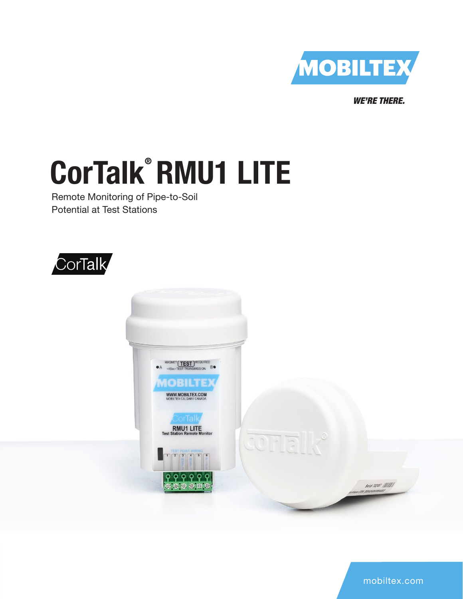

*WE'RE THERE.*

# CorTalk®RMU1 LITE

Remote Monitoring of Pipe-to-Soil Potential at Test Stations





mobiltex.com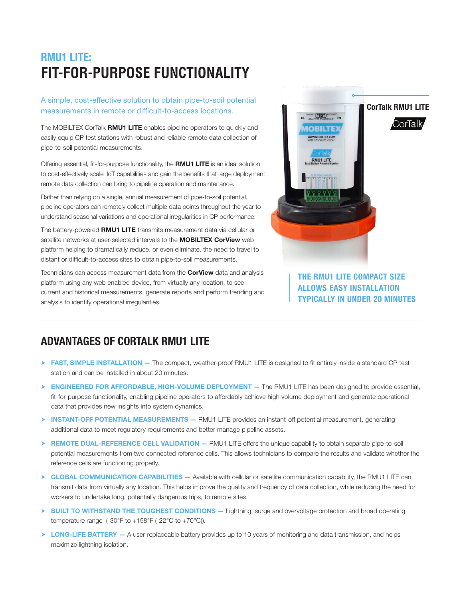# RMU1 LITE: **FIT-FOR-PURPOSE FUNCTIONALITY**

A simple, cost-effective solution to obtain pipe-to-soil potential **and a simple of the contract of the contract of the contract of the contract of the contract of the contract of the contract of the contract of the contra** measurements in remote or difficult-to-access locations.

The MOBILTEX CorTalk **RMU1 LITE** enables pipeline operators to quickly and easily equip CP test stations with robust and reliable remote data collection of pipe-to-soil potential measurements.

Offering essential, fit-for-purpose functionality, the RMU1 LITE is an ideal solution to cost-effectively scale IIoT capabilities and gain the benefits that large deployment remote data collection can bring to pipeline operation and maintenance.

Rather than relying on a single, annual measurement of pipe-to-soil potential, pipeline operators can remotely collect multiple data points throughout the year to understand seasonal variations and operational irregularities in CP performance.

The battery-powered **RMU1 LITE** transmits measurement data via cellular or satellite networks at user-selected intervals to the **MOBILTEX CorView** web platform helping to dramatically reduce, or even eliminate, the need to travel to distant or difficult-to-access sites to obtain pipe-to-soil measurements.

Technicians can access measurement data from the **CorView** data and analysis platform using any web enabled device, from virtually any location, to see current and historical measurements, generate reports and perform trending and analysis to identify operational irregularities.



THE RMU1 LITE COMPACT SIZE ALLOWS EASY INSTALLATION TYPICALLY IN UNDER 20 MINUTES

## ADVANTAGES OF CORTALK RMU1 LITE

- $\triangleright$  FAST, SIMPLE INSTALLATION  $-$  The compact, weather-proof RMU1 LITE is designed to fit entirely inside a standard CP test station and can be installed in about 20 minutes.
- > ENGINEERED FOR AFFORDABLE, HIGH-VOLUME DEPLOYMENT The RMU1 LITE has been designed to provide essential, fit-for-purpose functionality, enabling pipeline operators to affordably achieve high volume deployment and generate operational data that provides new insights into system dynamics.
- $\triangleright$  INSTANT-OFF POTENTIAL MEASUREMENTS  $-$  RMU1 LITE provides an instant-off potential measurement, generating additional data to meet regulatory requirements and better manage pipeline assets.
- ▶ REMOTE DUAL-REFERENCE CELL VALIDATION RMU1 LITE offers the unique capability to obtain separate pipe-to-soil potential measurements from two connected reference cells. This allows technicians to compare the results and validate whether the reference cells are functioning properly.
- $\triangleright$  GLOBAL COMMUNICATION CAPABILITIES  $-$  Available with cellular or satellite communication capability, the RMU1 LITE can transmit data from virtually any location. This helps improve the quality and frequency of data collection, while reducing the need for workers to undertake long, potentially dangerous trips, to remote sites.
- > BUILT TO WITHSTAND THE TOUGHEST CONDITIONS Lightning, surge and overvoltage protection and broad operating temperature range  $(-30^{\circ}F$  to  $+158^{\circ}F$   $(-22^{\circ}C$  to  $+70^{\circ}C)$ ).
- $\triangleright$  LONG-LIFE BATTERY A user-replaceable battery provides up to 10 years of monitoring and data transmission, and helps maximize lightning isolation.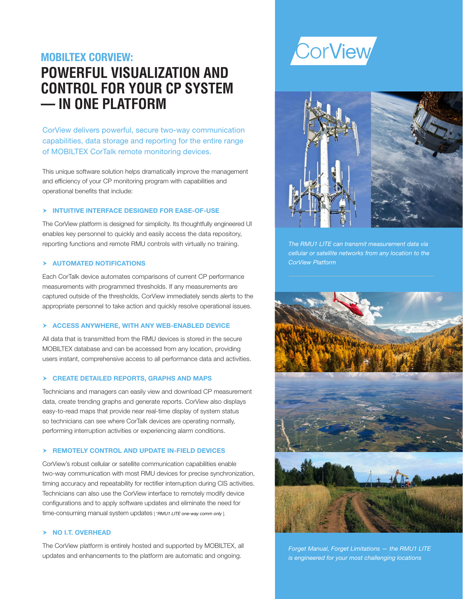# MOBILTEX CORVIEW: **POWERFUL VISUALIZATION AND CONTROL FOR YOUR CP SYSTEM — IN ONE PLATFORM**

CorView delivers powerful, secure two-way communication capabilities, data storage and reporting for the entire range of MOBILTEX CorTalk remote monitoring devices.

This unique software solution helps dramatically improve the management and efficiency of your CP monitoring program with capabilities and operational benefits that include:

#### **EXECUTIVE INTERFACE DESIGNED FOR EASE-OF-USE**

The CorView platform is designed for simplicity. Its thoughtfully engineered UI enables key personnel to quickly and easily access the data repository, reporting functions and remote RMU controls with virtually no training.

#### $\triangleright$  AUTOMATED NOTIFICATIONS

Each CorTalk device automates comparisons of current CP performance measurements with programmed thresholds. If any measurements are captured outside of the thresholds, CorView immediately sends alerts to the appropriate personnel to take action and quickly resolve operational issues.

#### $\triangleright$  ACCESS ANYWHERE, WITH ANY WEB-ENABLED DEVICE

All data that is transmitted from the RMU devices is stored in the secure MOBILTEX database and can be accessed from any location, providing users instant, comprehensive access to all performance data and activities.

#### $\triangleright$  CREATE DETAILED REPORTS, GRAPHS AND MAPS

Technicians and managers can easily view and download CP measurement data, create trending graphs and generate reports. CorView also displays easy-to-read maps that provide near real-time display of system status so technicians can see where CorTalk devices are operating normally, performing interruption activities or experiencing alarm conditions.

#### $\triangleright$  REMOTELY CONTROL AND UPDATE IN-FIELD DEVICES

CorView's robust cellular or satellite communication capabilities enable two-way communication with most RMU devices for precise synchronization, timing accuracy and repeatability for rectifier interruption during CIS activities. Technicians can also use the CorView interface to remotely modify device configurations and to apply software updates and eliminate the need for time-consuming manual system updates [ \**RMU1 LITE one-way comm only* ].

#### $\triangleright$  NO I.T. OVERHEAD

The CorView platform is entirely hosted and supported by MOBILTEX, all updates and enhancements to the platform are automatic and ongoing.





*The RMU1 LITE can transmit measurement data via cellular or satellite networks from any location to the CorView Platform*



*Forget Manual, Forget Limitations — the RMU1 LITE is engineered for your most challenging locations*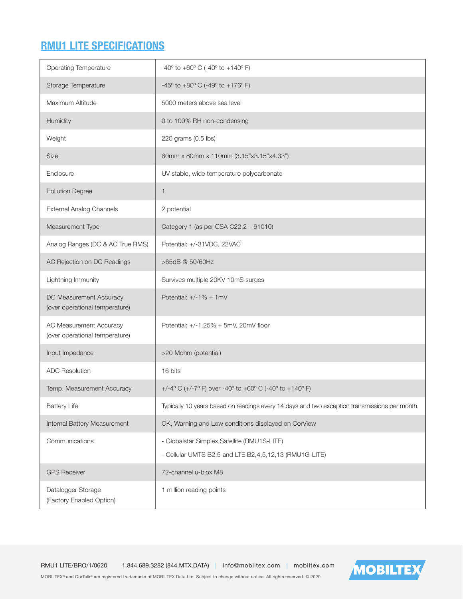## RMU1 LITE SPECIFICATIONS

| Operating Temperature                                     | $-40^{\circ}$ to $+60^{\circ}$ C (-40° to $+140^{\circ}$ F)                                           |  |
|-----------------------------------------------------------|-------------------------------------------------------------------------------------------------------|--|
| Storage Temperature                                       | $-45^{\circ}$ to $+80^{\circ}$ C (-49 $^{\circ}$ to $+176^{\circ}$ F)                                 |  |
| Maximum Altitude                                          | 5000 meters above sea level                                                                           |  |
| Humidity                                                  | 0 to 100% RH non-condensing                                                                           |  |
| Weight                                                    | 220 grams (0.5 lbs)                                                                                   |  |
| <b>Size</b>                                               | 80mm x 80mm x 110mm (3.15"x3.15"x4.33")                                                               |  |
| Enclosure                                                 | UV stable, wide temperature polycarbonate                                                             |  |
| <b>Pollution Degree</b>                                   | $\mathbf{1}$                                                                                          |  |
| <b>External Analog Channels</b>                           | 2 potential                                                                                           |  |
| Measurement Type                                          | Category 1 (as per CSA C22.2 - 61010)                                                                 |  |
| Analog Ranges (DC & AC True RMS)                          | Potential: +/-31VDC, 22VAC                                                                            |  |
| AC Rejection on DC Readings                               | >65dB @ 50/60Hz                                                                                       |  |
| Lightning Immunity                                        | Survives multiple 20KV 10mS surges                                                                    |  |
| DC Measurement Accuracy<br>(over operational temperature) | Potential: $+/-1\% + 1mV$                                                                             |  |
| AC Measurement Accuracy<br>(over operational temperature) | Potential: +/-1.25% + 5mV, 20mV floor                                                                 |  |
| Input Impedance                                           | >20 Mohm (potential)                                                                                  |  |
| <b>ADC Resolution</b>                                     | 16 bits                                                                                               |  |
| Temp. Measurement Accuracy                                | +/-4° C (+/-7° F) over -40° to +60° C (-40° to +140° F)                                               |  |
| <b>Battery Life</b>                                       | Typically 10 years based on readings every 14 days and two exception transmissions per month.         |  |
| Internal Battery Measurement                              | OK, Warning and Low conditions displayed on CorView                                                   |  |
| Communications                                            | - Globalstar Simplex Satellite (RMU1S-LITE)<br>- Cellular UMTS B2,5 and LTE B2,4,5,12,13 (RMU1G-LITE) |  |
| <b>GPS Receiver</b>                                       | 72-channel u-blox M8                                                                                  |  |
| Datalogger Storage<br>(Factory Enabled Option)            | 1 million reading points                                                                              |  |